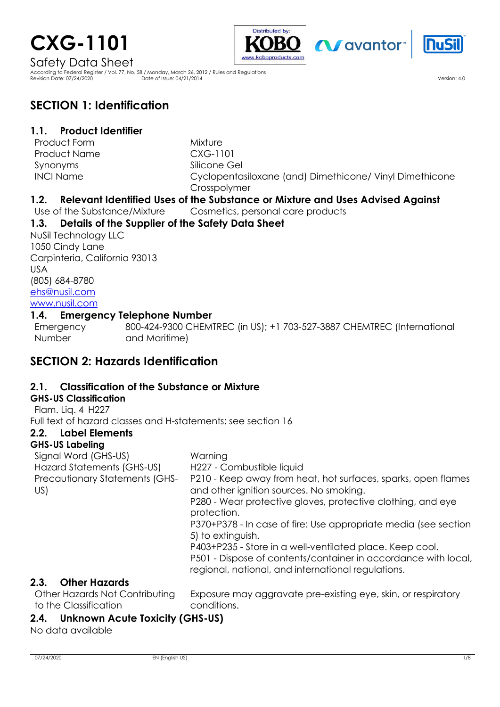# **CXG-1101**





Safety Data Sheet

According to Federal Register / Vol. 77, No. 58 / Monday, March 26, 2012 / Rules and Regulations Revision Date: 07/24/2020 Date of Issue: 04/21/2014 Version: 4.0

# **SECTION 1: Identification**

## **1.1. Product Identifier**

Product Form **Mixture** Product Name  $CXG-1101$ Synonyms INCI Name

Silicone Gel Cyclopentasiloxane (and) Dimethicone/ Vinyl Dimethicone Crosspolymer

## **1.2. Relevant Identified Uses of the Substance or Mixture and Uses Advised Against**

Use of the Substance/Mixture Cosmetics, personal care products

## **1.3. Details of the Supplier of the Safety Data Sheet**

NuSil Technology LLC 1050 Cindy Lane Carpinteria, California 93013 USA (805) 684-8780 [ehs@nusil.com](mailto:ehs@nusil.com) [www.nusil.com](http://www.nusil.com/)

#### **1.4. Emergency Telephone Number**

Emergency Number : 800-424-9300 CHEMTREC (in US); +1 703-527-3887 CHEMTREC (International and Maritime)

# **SECTION 2: Hazards Identification**

## **2.1. Classification of the Substance or Mixture**

## **GHS-US Classification**

Flam. Liq. 4 H227

Full text of hazard classes and H-statements: see section 16

## **2.2. Label Elements**

#### **GHS-US Labeling**

Signal Word (GHS-US) in the Warning Hazard Statements (GHS-US) H227 - Combustible liquid Precautionary Statements (GHS-US) P210 - Keep away from heat, hot surfaces, sparks, open flames and other ignition sources. No smoking. P280 - Wear protective gloves, protective clothing, and eye protection. P370+P378 - In case of fire: Use appropriate media (see section 5) to extinguish.

P403+P235 - Store in a well-ventilated place. Keep cool. P501 - Dispose of contents/container in accordance with local, regional, national, and international regulations.

## **2.3. Other Hazards**

to the Classification

Other Hazards Not Contributing Exposure may aggravate pre-existing eye, skin, or respiratory conditions.

## **2.4. Unknown Acute Toxicity (GHS-US)**

No data available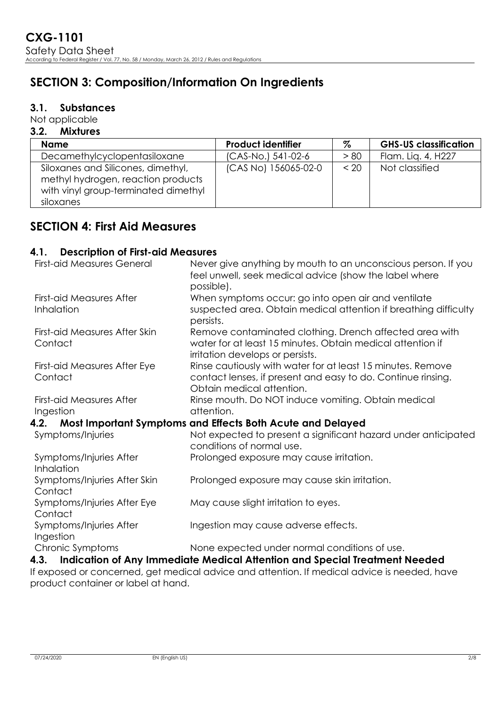# **SECTION 3: Composition/Information On Ingredients**

## **3.1. Substances**

Not applicable

#### **3.2. Mixtures**

| <b>Name</b>                                                                                                                   | <b>Product identifier</b> | %    | <b>GHS-US classification</b> |
|-------------------------------------------------------------------------------------------------------------------------------|---------------------------|------|------------------------------|
| Decamethylcyclopentasiloxane                                                                                                  | (CAS-No.) 541-02-6        | > 80 | Flam. Lig. 4, H227           |
| Siloxanes and Silicones, dimethyl,<br>methyl hydrogen, reaction products<br>with vinyl group-terminated dimethyl<br>siloxanes | (CAS No) 156065-02-0      | < 20 | Not classified               |

# **SECTION 4: First Aid Measures**

#### **4.1. Description of First-aid Measures**

| <b>First-aid Measures General</b>                                  | Never give anything by mouth to an unconscious person. If you<br>feel unwell, seek medical advice (show the label where |  |  |
|--------------------------------------------------------------------|-------------------------------------------------------------------------------------------------------------------------|--|--|
|                                                                    | possible).                                                                                                              |  |  |
| <b>First-aid Measures After</b>                                    | When symptoms occur: go into open air and ventilate                                                                     |  |  |
| Inhalation                                                         | suspected area. Obtain medical attention if breathing difficulty<br>persists.                                           |  |  |
| First-aid Measures After Skin                                      | Remove contaminated clothing. Drench affected area with                                                                 |  |  |
| Contact                                                            | water for at least 15 minutes. Obtain medical attention if                                                              |  |  |
|                                                                    | irritation develops or persists.                                                                                        |  |  |
| First-aid Measures After Eye                                       | Rinse cautiously with water for at least 15 minutes. Remove                                                             |  |  |
| Contact                                                            | contact lenses, if present and easy to do. Continue rinsing.                                                            |  |  |
|                                                                    | Obtain medical attention.                                                                                               |  |  |
| <b>First-aid Measures After</b>                                    | Rinse mouth. Do NOT induce vomiting. Obtain medical                                                                     |  |  |
| Ingestion                                                          | attention.                                                                                                              |  |  |
| Most Important Symptoms and Effects Both Acute and Delayed<br>4.2. |                                                                                                                         |  |  |
| Symptoms/Injuries                                                  | Not expected to present a significant hazard under anticipated                                                          |  |  |
|                                                                    | conditions of normal use.                                                                                               |  |  |
| Symptoms/Injuries After                                            | Prolonged exposure may cause irritation.                                                                                |  |  |
| Inhalation                                                         |                                                                                                                         |  |  |
| Symptoms/Injuries After Skin<br>Contact                            | Prolonged exposure may cause skin irritation.                                                                           |  |  |
| Symptoms/Injuries After Eye                                        | May cause slight irritation to eyes.                                                                                    |  |  |
| Contact                                                            |                                                                                                                         |  |  |
| Symptoms/Injuries After                                            | Ingestion may cause adverse effects.                                                                                    |  |  |
| Ingestion                                                          |                                                                                                                         |  |  |
| Chronic Symptoms                                                   | None expected under normal conditions of use.                                                                           |  |  |
|                                                                    | 4.3. Indication of Any Immediate Medical Attention and Special Treatment Needed                                         |  |  |

If exposed or concerned, get medical advice and attention. If medical advice is needed, have product container or label at hand.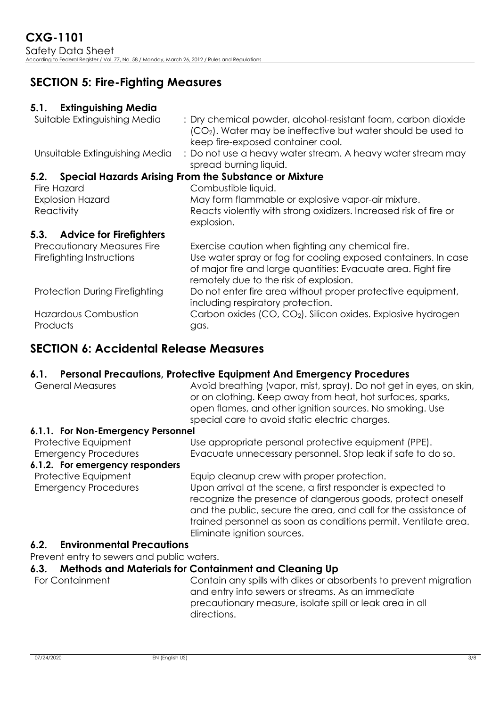# **SECTION 5: Fire-Fighting Measures**

## **5.1. Extinguishing Media**

| Suitable Extinguishing Media                             | : Dry chemical powder, alcohol-resistant foam, carbon dioxide<br>(CO <sub>2</sub> ). Water may be ineffective but water should be used to<br>keep fire-exposed container cool.                                                 |
|----------------------------------------------------------|--------------------------------------------------------------------------------------------------------------------------------------------------------------------------------------------------------------------------------|
| Unsuitable Extinguishing Media                           | : Do not use a heavy water stream. A heavy water stream may<br>spread burning liquid.                                                                                                                                          |
| 5.2.                                                     | <b>Special Hazards Arising From the Substance or Mixture</b>                                                                                                                                                                   |
| Fire Hazard                                              | Combustible liquid.                                                                                                                                                                                                            |
| <b>Explosion Hazard</b>                                  | May form flammable or explosive vapor-air mixture.                                                                                                                                                                             |
| Reactivity                                               | Reacts violently with strong oxidizers. Increased risk of fire or<br>explosion.                                                                                                                                                |
| <b>Advice for Firefighters</b><br>5.3.                   |                                                                                                                                                                                                                                |
| Precautionary Measures Fire<br>Firefighting Instructions | Exercise caution when fighting any chemical fire.<br>Use water spray or fog for cooling exposed containers. In case<br>of major fire and large quantities: Evacuate area. Fight fire<br>remotely due to the risk of explosion. |
| Protection During Firefighting                           | Do not enter fire area without proper protective equipment,<br>including respiratory protection.                                                                                                                               |
| <b>Hazardous Combustion</b><br>Products                  | Carbon oxides (CO, CO <sub>2</sub> ). Silicon oxides. Explosive hydrogen<br>gas.                                                                                                                                               |

# **SECTION 6: Accidental Release Measures**

## **6.1. Personal Precautions, Protective Equipment And Emergency Procedures**

| <b>General Measures</b>                             | Avoid breathing (vapor, mist, spray). Do not get in eyes, on skin,<br>or on clothing. Keep away from heat, hot surfaces, sparks,<br>open flames, and other ignition sources. No smoking. Use<br>special care to avoid static electric charges.                                                 |
|-----------------------------------------------------|------------------------------------------------------------------------------------------------------------------------------------------------------------------------------------------------------------------------------------------------------------------------------------------------|
| 6.1.1. For Non-Emergency Personnel                  |                                                                                                                                                                                                                                                                                                |
| Protective Equipment<br><b>Emergency Procedures</b> | Use appropriate personal protective equipment (PPE).<br>Evacuate unnecessary personnel. Stop leak if safe to do so.                                                                                                                                                                            |
| 6.1.2. For emergency responders                     |                                                                                                                                                                                                                                                                                                |
| Protective Equipment                                | Equip cleanup crew with proper protection.                                                                                                                                                                                                                                                     |
| <b>Emergency Procedures</b>                         | Upon arrival at the scene, a first responder is expected to<br>recognize the presence of dangerous goods, protect oneself<br>and the public, secure the area, and call for the assistance of<br>trained personnel as soon as conditions permit. Ventilate area.<br>Eliminate ignition sources. |
| <b>Environmental Precautions</b><br>6.2.            |                                                                                                                                                                                                                                                                                                |
| Prevent entry to sewers and public waters.          |                                                                                                                                                                                                                                                                                                |
| 6.3.                                                | <b>Methods and Materials for Containment and Cleaning Up</b>                                                                                                                                                                                                                                   |
| For Containment                                     | Contain any spills with dikes or absorbents to prevent migration                                                                                                                                                                                                                               |

and entry into sewers or streams. As an immediate precautionary measure, isolate spill or leak area in all directions.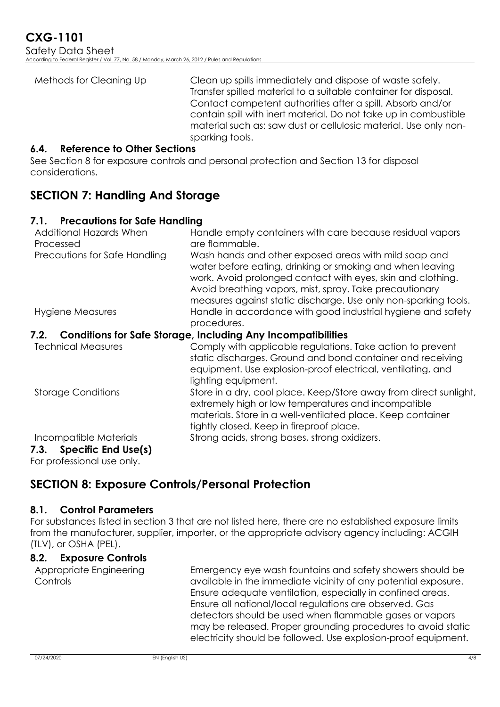| Methods for Cleaning Up | Clean up spills immediately and dispose of waste safely.<br>Transfer spilled material to a suitable container for disposal.<br>Contact competent authorities after a spill. Absorb and/or<br>contain spill with inert material. Do not take up in combustible<br>material such as: saw dust or cellulosic material. Use only non- |
|-------------------------|-----------------------------------------------------------------------------------------------------------------------------------------------------------------------------------------------------------------------------------------------------------------------------------------------------------------------------------|
|                         | sparking tools.                                                                                                                                                                                                                                                                                                                   |

#### **6.4. Reference to Other Sections**

See Section 8 for exposure controls and personal protection and Section 13 for disposal considerations.

# **SECTION 7: Handling And Storage**

#### **7.1. Precautions for Safe Handling**

| Additional Hazards When<br>Processed | Handle empty containers with care because residual vapors<br>are flammable.                                                                                                                                                                                                                                     |
|--------------------------------------|-----------------------------------------------------------------------------------------------------------------------------------------------------------------------------------------------------------------------------------------------------------------------------------------------------------------|
| Precautions for Safe Handling        | Wash hands and other exposed areas with mild soap and<br>water before eating, drinking or smoking and when leaving<br>work. Avoid prolonged contact with eyes, skin and clothing.<br>Avoid breathing vapors, mist, spray. Take precautionary<br>measures against static discharge. Use only non-sparking tools. |
| Hygiene Measures                     | Handle in accordance with good industrial hygiene and safety<br>procedures.                                                                                                                                                                                                                                     |
| 7.2.                                 | <b>Conditions for Safe Storage, Including Any Incompatibilities</b>                                                                                                                                                                                                                                             |
| <b>Technical Measures</b>            | Comply with applicable regulations. Take action to prevent<br>static discharges. Ground and bond container and receiving<br>equipment. Use explosion-proof electrical, ventilating, and<br>lighting equipment.                                                                                                  |
| <b>Storage Conditions</b>            | Store in a dry, cool place. Keep/Store away from direct sunlight,<br>extremely high or low temperatures and incompatible<br>materials. Store in a well-ventilated place. Keep container<br>tightly closed. Keep in fireproof place.                                                                             |
| Incompatible Materials               | Strong acids, strong bases, strong oxidizers.                                                                                                                                                                                                                                                                   |
| 7.3. Specific End Use(s)             |                                                                                                                                                                                                                                                                                                                 |

For professional use only.

# **SECTION 8: Exposure Controls/Personal Protection**

#### **8.1. Control Parameters**

For substances listed in section 3 that are not listed here, there are no established exposure limits from the manufacturer, supplier, importer, or the appropriate advisory agency including: ACGIH (TLV), or OSHA (PEL).

## **8.2. Exposure Controls**

Appropriate Engineering Controls

Emergency eye wash fountains and safety showers should be available in the immediate vicinity of any potential exposure. Ensure adequate ventilation, especially in confined areas. Ensure all national/local regulations are observed. Gas detectors should be used when flammable gases or vapors may be released. Proper grounding procedures to avoid static electricity should be followed. Use explosion-proof equipment.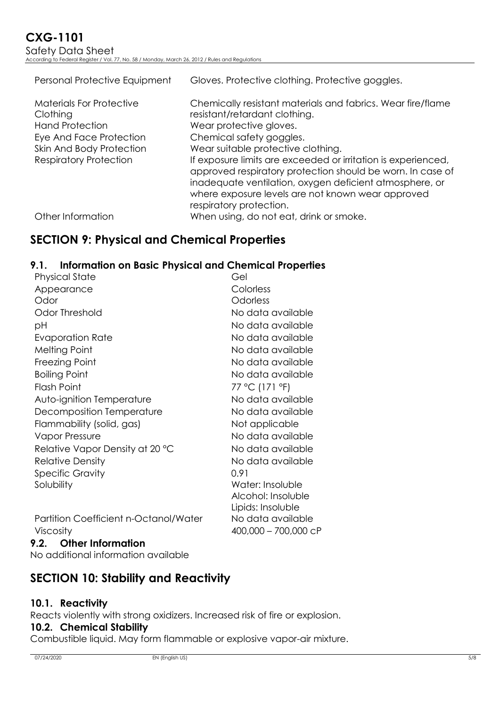| Personal Protective Equipment                                                                                                | Gloves. Protective clothing. Protective goggles.                                                                                                                                                                                                                       |
|------------------------------------------------------------------------------------------------------------------------------|------------------------------------------------------------------------------------------------------------------------------------------------------------------------------------------------------------------------------------------------------------------------|
| <b>Materials For Protective</b><br>Clothing<br><b>Hand Protection</b><br>Eye And Face Protection<br>Skin And Body Protection | Chemically resistant materials and fabrics. Wear fire/flame<br>resistant/retardant clothing.<br>Wear protective gloves.<br>Chemical safety goggles.<br>Wear suitable protective clothing.                                                                              |
| <b>Respiratory Protection</b>                                                                                                | If exposure limits are exceeded or irritation is experienced,<br>approved respiratory protection should be worn. In case of<br>inadequate ventilation, oxygen deficient atmosphere, or<br>where exposure levels are not known wear approved<br>respiratory protection. |
| Other Information                                                                                                            | When using, do not eat, drink or smoke.                                                                                                                                                                                                                                |

# **SECTION 9: Physical and Chemical Properties**

## **9.1. Information on Basic Physical and Chemical Properties**

| <b>Physical State</b>                        | Gel                  |
|----------------------------------------------|----------------------|
| Appearance                                   | Colorless            |
| Odor                                         | Odorless             |
| Odor Threshold                               | No data available    |
| рH                                           | No data available    |
| Evaporation Rate                             | No data available    |
| <b>Melting Point</b>                         | No data available    |
| Freezing Point                               | No data available    |
| <b>Boiling Point</b>                         | No data available    |
| <b>Flash Point</b>                           | 77 °C (171 °F)       |
| Auto-ignition Temperature                    | No data available    |
| Decomposition Temperature                    | No data available    |
| Flammability (solid, gas)                    | Not applicable       |
| <b>Vapor Pressure</b>                        | No data available    |
| Relative Vapor Density at 20 °C              | No data available    |
| <b>Relative Density</b>                      | No data available    |
| <b>Specific Gravity</b>                      | 0.91                 |
| Solubility                                   | Water: Insoluble     |
|                                              | Alcohol: Insoluble   |
|                                              | Lipids: Insoluble    |
| <b>Partition Coefficient n-Octanol/Water</b> | No data available    |
| <b>Viscosity</b>                             | 400,000 - 700,000 cP |

**9.2. Other Information** No additional information available

# **SECTION 10: Stability and Reactivity**

## **10.1. Reactivity**

Reacts violently with strong oxidizers. Increased risk of fire or explosion.

#### **10.2. Chemical Stability**

Combustible liquid. May form flammable or explosive vapor-air mixture.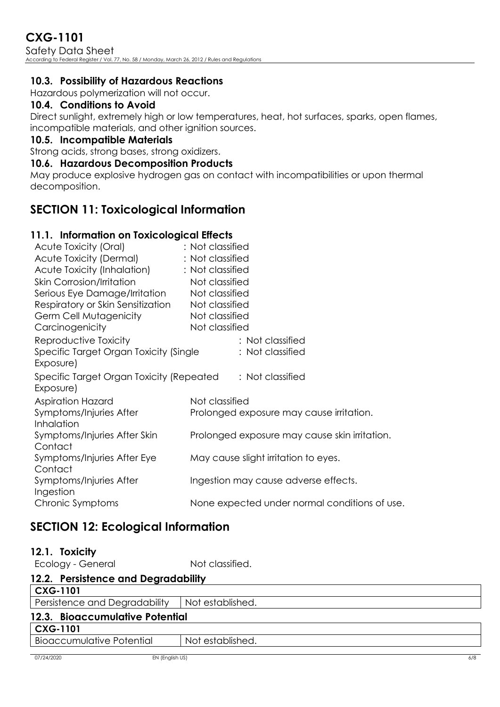# **CXG-1101**

Safety Data Sheet According to Federal Register / Vol. 77, No. 58 / Monday, March 26, 2012 / Rules and Regulations

## **10.3. Possibility of Hazardous Reactions**

Hazardous polymerization will not occur.

## **10.4. Conditions to Avoid**

Direct sunlight, extremely high or low temperatures, heat, hot surfaces, sparks, open flames, incompatible materials, and other ignition sources.

#### **10.5. Incompatible Materials**

Strong acids, strong bases, strong oxidizers.

#### **10.6. Hazardous Decomposition Products**

May produce explosive hydrogen gas on contact with incompatibilities or upon thermal decomposition.

# **SECTION 11: Toxicological Information**

## **11.1. Information on Toxicological Effects**

| Acute Toxicity (Oral)                                 | : Not classified                              |
|-------------------------------------------------------|-----------------------------------------------|
| Acute Toxicity (Dermal)                               | : Not classified                              |
| Acute Toxicity (Inhalation)                           | : Not classified                              |
| <b>Skin Corrosion/Irritation</b>                      | Not classified                                |
| Serious Eye Damage/Irritation                         | Not classified                                |
| Respiratory or Skin Sensitization                     | Not classified                                |
| Germ Cell Mutagenicity                                | Not classified                                |
| Carcinogenicity                                       | Not classified                                |
| Reproductive Toxicity                                 | : Not classified                              |
| Specific Target Organ Toxicity (Single<br>Exposure)   | : Not classified                              |
| Specific Target Organ Toxicity (Repeated<br>Exposure) | : Not classified                              |
| <b>Aspiration Hazard</b>                              | Not classified                                |
| Symptoms/Injuries After                               | Prolonged exposure may cause irritation.      |
| Inhalation                                            |                                               |
| Symptoms/Injuries After Skin                          | Prolonged exposure may cause skin irritation. |
| Contact                                               |                                               |
| Symptoms/Injuries After Eye                           | May cause slight irritation to eyes.          |
| Contact                                               |                                               |
| Symptoms/Injuries After<br>Ingestion                  | Ingestion may cause adverse effects.          |
| Chronic Symptoms                                      | None expected under normal conditions of use. |
|                                                       |                                               |

# **SECTION 12: Ecological Information**

Ecology - General interval in Not classified.

| 12.2. Persistence and Degradability |                  |  |
|-------------------------------------|------------------|--|
| <b>CXG-1101</b>                     |                  |  |
| Persistence and Degradability       | Not established. |  |
| 12.3. Bioaccumulative Potential     |                  |  |
| <b>CXG-1101</b>                     |                  |  |
| <b>Bioaccumulative Potential</b>    | Not established. |  |
|                                     |                  |  |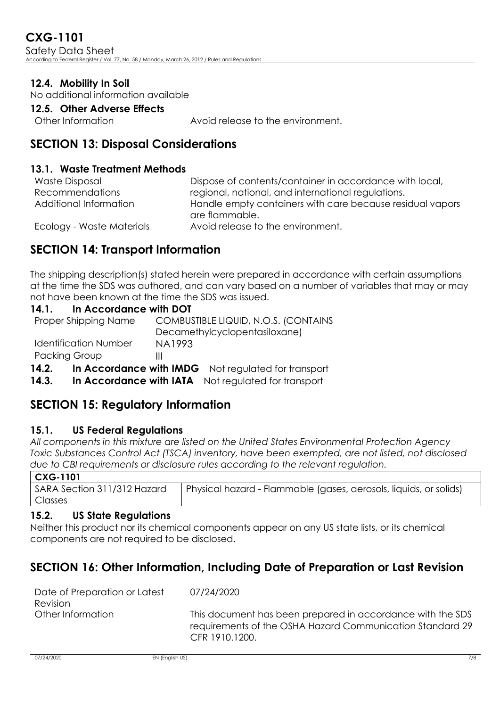**CXG-1101** Safety Data Sheet According to Federal Register / Vol. 77, No. 58 / Monday, March 26, 2012 / Rules and Regulations

## **12.4. Mobility In Soil**

No additional information available

#### **12.5. Other Adverse Effects**

Other Information : Avoid release to the environment.

## **SECTION 13: Disposal Considerations**

#### **13.1. Waste Treatment Methods**

| <b>Waste Disposal</b>     | Dispose of contents/container in accordance with local,                     |
|---------------------------|-----------------------------------------------------------------------------|
| <b>Recommendations</b>    | regional, national, and international regulations.                          |
| Additional Information    | Handle empty containers with care because residual vapors<br>are flammable. |
| Ecology - Waste Materials | Avoid release to the environment.                                           |

# **SECTION 14: Transport Information**

The shipping description(s) stated herein were prepared in accordance with certain assumptions at the time the SDS was authored, and can vary based on a number of variables that may or may not have been known at the time the SDS was issued.

#### **14.1. In Accordance with DOT**

| 14.2.                        | In Accordance with IMDG Not regulated for transport |
|------------------------------|-----------------------------------------------------|
| <b>Packing Group</b>         |                                                     |
| <b>Identification Number</b> | NA1993                                              |
|                              | Decamethylcyclopentasiloxane)                       |
| Proper Shipping Name         | COMBUSTIBLE LIQUID, N.O.S. (CONTAINS                |

14.3. In Accordance with IATA Not requlated for transport

# **SECTION 15: Regulatory Information**

#### **15.1. US Federal Regulations**

*All components in this mixture are listed on the United States Environmental Protection Agency Toxic Substances Control Act (TSCA) inventory, have been exempted, are not listed, not disclosed due to CBI requirements or disclosure rules according to the relevant regulation.*

| . Caga pa |                                                                                                 |
|-----------|-------------------------------------------------------------------------------------------------|
|           | SARA Section 311/312 Hazard   Physical hazard - Flammable (gases, aerosols, liquids, or solids) |
| Classes   |                                                                                                 |

#### **15.2. US State Regulations**

Neither this product nor its chemical components appear on any US state lists, or its chemical components are not required to be disclosed.

: 07/24/2020

# **SECTION 16: Other Information, Including Date of Preparation or Last Revision**

| Date of Preparation or Latest |  |
|-------------------------------|--|
| Revision                      |  |
| Other Information             |  |

This document has been prepared in accordance with the SDS requirements of the OSHA Hazard Communication Standard 29 CFR 1910.1200.